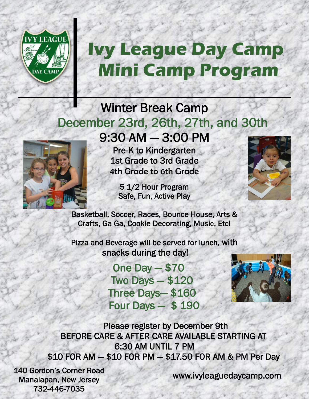

## **Ivy League Day Camp Mini Camp Program**

## Winter Break Camp December 23rd, 26th, 27th, and 30th 9:30 AM — 3:00 PM



Pre-K to Kindergarten 1st Grade to 3rd Grade 4th Grade to 6th Grade

5 1/2 Hour Program Safe, Fun, Active Play



Basketball, Soccer, Races, Bounce House, Arts & Crafts, Ga Ga, Cookie Decorating, Music, Etc!

ļ

Pizza and Beverage will be served for lunch, with snacks during the day!

> One Day — \$70 Two Days — \$120 Three Days— \$160 Four Days — \$ 190



 Please register by December 9th BEFORE CARE & AFTER CARE AVAILABLE STARTING AT 6:30 AM UNTIL 7 PM \$10 FOR AM — \$10 FOR PM — \$17.50 FOR AM & PM Per Day

140 Gordon's Corner Road Manalapan, New Jersey 732-446-7035

www.ivyleaguedaycamp.com